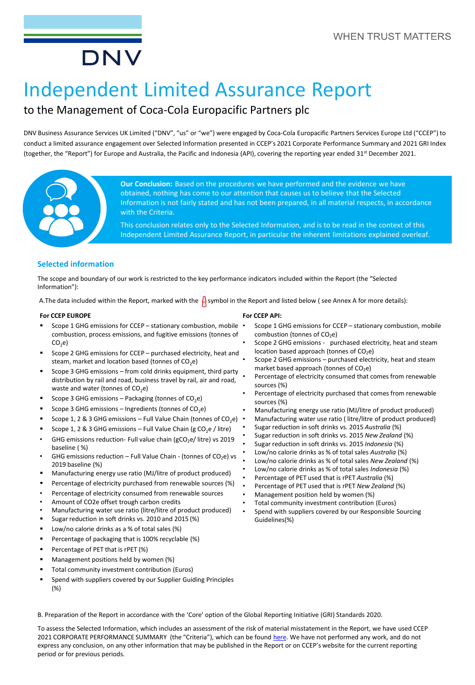# DNV

## Independent Limited Assurance Report

## to the Management of Coca-Cola Europacific Partners plc

DNV Business Assurance Services UK Limited ("DNV", "us" or "we") were engaged by Coca-Cola Europacific Partners Services Europe Ltd ("CCEP") to conduct a limited assurance engagement over Selected Information presented in CCEP's 2021 Corporate Performance Summary and 2021 GRI Index (together, the "Report") for Europe and Australia, the Pacific and Indonesia (API), covering the reporting year ended 31st December 2021.



**Our Conclusion:** Based on the procedures we have performed and the evidence we have obtained, nothing has come to our attention that causes us to believe that the Selected Information is not fairly stated and has not been prepared, in all material respects, in accordance with the Criteria.

This conclusion relates only to the Selected Information, and is to be read in the context of this Independent Limited Assurance Report, in particular the inherent limitations explained overleaf.

#### **Selected information**

The scope and boundary of our work is restricted to the key performance indicators included within the Report (the "Selected Information"):

A. The data included within the Report, marked with the  $\frac{1}{2}$  symbol in the Report and listed below (see Annex A for more details):

#### **For CCEP EUROPE**

- Scope 1 GHG emissions for CCEP stationary combustion, mobile combustion, process emissions, and fugitive emissions (tonnes of  $CO<sub>2</sub>e$
- Scope 2 GHG emissions for CCEP purchased electricity, heat and steam, market and location based (tonnes of  $CO<sub>2</sub>e$ )
- Scope 3 GHG emissions from cold drinks equipment, third party distribution by rail and road, business travel by rail, air and road, waste and water (tonnes of  $CO<sub>2</sub>e$ )
- Scope 3 GHG emissions Packaging (tonnes of  $CO<sub>2</sub>e$ )
- Scope 3 GHG emissions Ingredients (tonnes of  $CO<sub>2</sub>e$ )
- Scope 1, 2 & 3 GHG emissions Full Value Chain (tonnes of  $CO<sub>2</sub>e$ ) •
- Scope 1, 2 & 3 GHG emissions Full Value Chain (g CO<sub>2</sub>e / litre)
- GHG emissions reduction- Full value chain ( $gCO<sub>2</sub>e/$  litre) vs 2019 baseline ( %)
- GHG emissions reduction Full Value Chain (tonnes of  $CO<sub>2</sub>e$ ) vs 2019 baseline (%)
- Manufacturing energy use ratio (MJ/litre of product produced)
- Percentage of electricity purchased from renewable sources (%)
- Percentage of electricity consumed from renewable sources
- Amount of CO2e offset trough carbon credits
- Manufacturing water use ratio (litre/litre of product produced)
- Sugar reduction in soft drinks vs. 2010 and 2015 (%)
- Low/no calorie drinks as a % of total sales (%)
- Percentage of packaging that is 100% recyclable (%)
- Percentage of PET that is rPET (%)
- Management positions held by women (%)
- Total community investment contribution (Euros)
- Spend with suppliers covered by our Supplier Guiding Principles (%)

**For CCEP API:**

- Scope 1 GHG emissions for CCEP stationary combustion, mobile combustion (tonnes of CO<sub>2</sub>e)
- Scope 2 GHG emissions purchased electricity, heat and steam location based approach (tonnes of CO<sub>2</sub>e)
- Scope 2 GHG emissions purchased electricity, heat and steam market based approach (tonnes of  $CO<sub>2</sub>e$ )
- Percentage of electricity consumed that comes from renewable sources (%)
- Percentage of electricity purchased that comes from renewable sources (%)
- Manufacturing energy use ratio (MJ/litre of product produced)
- Manufacturing water use ratio ( litre/litre of product produced)
- Sugar reduction in soft drinks vs. 2015 *Australia* (%)
- Sugar reduction in soft drinks vs. 2015 *New Zealand* (%)
- Sugar reduction in soft drinks vs. 2015 *Indonesia* (%)
- Low/no calorie drinks as % of total sales *Australia* (%)
- Low/no calorie drinks as % of total sales *New Zealand* (%)
- Low/no calorie drinks as % of total sales *Indonesia* (%)
- Percentage of PET used that is rPET *Australia* (%)
- Percentage of PET used that is rPET *New Zealand* (%)
- Management position held by women (%)
- Total community investment contribution (Euros)
- Spend with suppliers covered by our Responsible Sourcing Guidelines(%)

B. Preparation of the Report in accordance with the 'Core' option of the Global Reporting Initiative (GRI) Standards 2020.

To assess the Selected Information, which includes an assessment of the risk of material misstatement in the Report, we have used CCEP 2021 CORPORATE PERFORMANCE SUMMARY (the "Criteria"), which can be found [here.](https://www.cocacolaep.com/sustainability/download-centre/) We have not performed any work, and do not express any conclusion, on any other information that may be published in the Report or on CCEP's website for the current reporting period or for previous periods.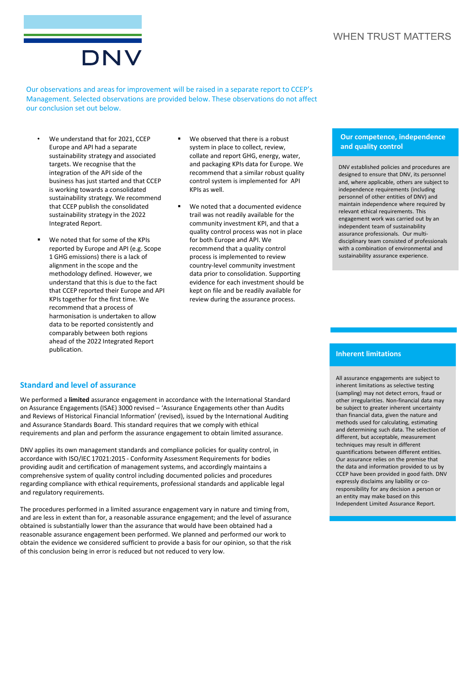#### **WHEN TRUST MATTERS**



Our observations and areas for improvement will be raised in a separate report to CCEP's Management. Selected observations are provided below. These observations do not affect our conclusion set out below.

- We understand that for 2021, CCEP Europe and API had a separate sustainability strategy and associated targets. We recognise that the integration of the API side of the business has just started and that CCEP is working towards a consolidated sustainability strategy. We recommend that CCEP publish the consolidated sustainability strategy in the 2022 Integrated Report.
- We noted that for some of the KPIs reported by Europe and API (e.g. Scope 1 GHG emissions) there is a lack of alignment in the scope and the methodology defined. However, we understand that this is due to the fact that CCEP reported their Europe and API KPIs together for the first time. We recommend that a process of harmonisation is undertaken to allow data to be reported consistently and comparably between both regions ahead of the 2022 Integrated Report publication.
- We observed that there is a robust system in place to collect, review, collate and report GHG, energy, water, and packaging KPIs data for Europe. We recommend that a similar robust quality control system is implemented for API KPIs as well.
- We noted that a documented evidence trail was not readily available for the community investment KPI, and that a quality control process was not in place for both Europe and API. We recommend that a quality control process is implemented to review country-level community investment data prior to consolidation. Supporting evidence for each investment should be kept on file and be readily available for review during the assurance process.

#### **Our competence, independence and quality control**

DNV established policies and procedures are designed to ensure that DNV, its personnel and, where applicable, others are subject to independence requirements (including personnel of other entities of DNV) and maintain independence where required by relevant ethical requirements. This engagement work was carried out by an independent team of sustainability assurance professionals. Our multidisciplinary team consisted of professionals with a combination of environmental and sustainability assurance experience.

#### **Inherent limitations**

**Standard and level of assurance** 

We performed a **limited** assurance engagement in accordance with the International Standard on Assurance Engagements (ISAE) 3000 revised – 'Assurance Engagements other than Audits and Reviews of Historical Financial Information' (revised), issued by the International Auditing and Assurance Standards Board. This standard requires that we comply with ethical requirements and plan and perform the assurance engagement to obtain limited assurance.

DNV applies its own management standards and compliance policies for quality control, in accordance with ISO/IEC 17021:2015 - Conformity Assessment Requirements for bodies providing audit and certification of management systems, and accordingly maintains a comprehensive system of quality control including documented policies and procedures regarding compliance with ethical requirements, professional standards and applicable legal and regulatory requirements.

The procedures performed in a limited assurance engagement vary in nature and timing from, and are less in extent than for, a reasonable assurance engagement; and the level of assurance obtained is substantially lower than the assurance that would have been obtained had a reasonable assurance engagement been performed. We planned and performed our work to obtain the evidence we considered sufficient to provide a basis for our opinion, so that the risk of this conclusion being in error is reduced but not reduced to very low.

All assurance engagements are subject to inherent limitations as selective testing (sampling) may not detect errors, fraud or other irregularities. Non-financial data may be subject to greater inherent uncertainty than financial data, given the nature and methods used for calculating, estimating and determining such data. The selection of different, but acceptable, measurement techniques may result in different quantifications between different entities. Our assurance relies on the premise that the data and information provided to us by CCEP have been provided in good faith. DNV expressly disclaims any liability or coresponsibility for any decision a person or an entity may make based on this Independent Limited Assurance Report.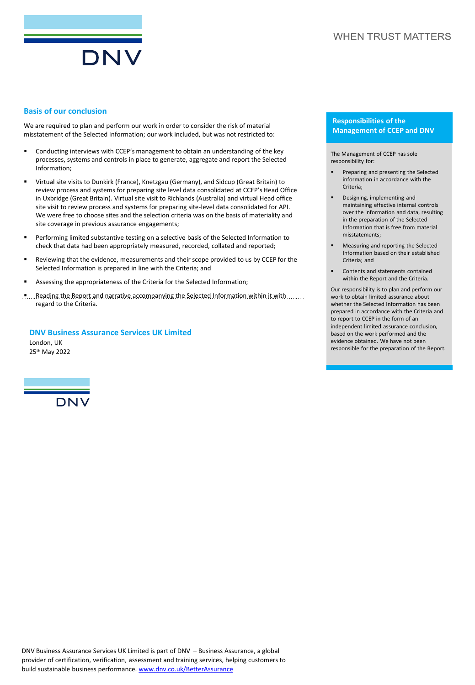

#### **Basis of our conclusion**

We are required to plan and perform our work in order to consider the risk of material misstatement of the Selected Information; our work included, but was not restricted to:

- Conducting interviews with CCEP's management to obtain an understanding of the key processes, systems and controls in place to generate, aggregate and report the Selected Information;
- Virtual site visits to Dunkirk (France), Knetzgau (Germany), and Sidcup (Great Britain) to review process and systems for preparing site level data consolidated at CCEP's Head Office in Uxbridge (Great Britain). Virtual site visit to Richlands (Australia) and virtual Head office site visit to review process and systems for preparing site-level data consolidated for API. We were free to choose sites and the selection criteria was on the basis of materiality and site coverage in previous assurance engagements;
- Performing limited substantive testing on a selective basis of the Selected Information to check that data had been appropriately measured, recorded, collated and reported;
- Reviewing that the evidence, measurements and their scope provided to us by CCEP for the Selected Information is prepared in line with the Criteria; and
- Assessing the appropriateness of the Criteria for the Selected Information;
- **.** Reading the Report and narrative accompanying the Selected Information within it with ......... regard to the Criteria.

#### **DNV Business Assurance Services UK Limited**

London, UK 25th May 2022



#### **Responsibilities of the Management of CCEP and DNV**

The Management of CCEP has sole responsibility for:

- Preparing and presenting the Selected information in accordance with the Criteria;
- Designing, implementing and maintaining effective internal controls over the information and data, resulting in the preparation of the Selected Information that is free from material misstatements;
- Measuring and reporting the Selected Information based on their established Criteria; and
- Contents and statements contained within the Report and the Criteria.

Our responsibility is to plan and perform our work to obtain limited assurance about whether the Selected Information has been prepared in accordance with the Criteria and to report to CCEP in the form of an independent limited assurance conclusion, based on the work performed and the evidence obtained. We have not been responsible for the preparation of the Report.